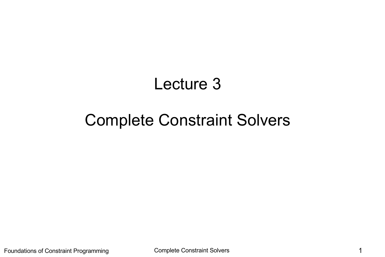# Lecture 3

# Complete Constraint Solvers

Foundations of Constraint Programming Complete Constraint Solvers **1** and 1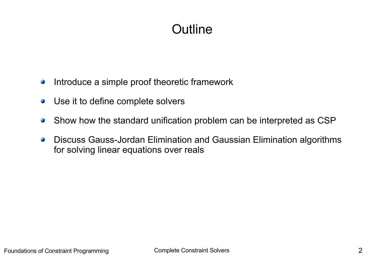# **Outline**

- Introduce a simple proof theoretic framework  $\mathcal{L}$
- Use it to define complete solvers  $\mathcal{L}$
- Show how the standard unification problem can be interpreted as CSP  $\mathbf{G}$
- Discuss Gauss-Jordan Elimination and Gaussian Elimination algorithms  $\frac{1}{2}$ for solving linear equations over reals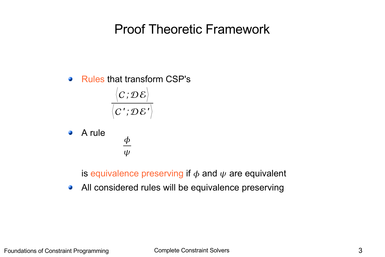### Proof Theoretic Framework

• Rules that transform CSP's

 $\langle \pmb{C} \, ; \mathcal{D} \, \mathcal{E} \rangle \, ,$  $\big\langle \textcolor{red}{C}\textcolor{black}{'};\mathcal{D}\mathcal{E}\textcolor{black}{'}\big\rangle$ 

 $\boldsymbol{\phi}$ 

 $\psi$ 

• A rule

is equivalence preserving if  $\phi$  and  $\psi$  are equivalent

• All considered rules will be equivalence preserving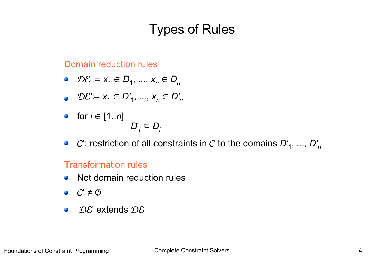# Types of Rules

Domain reduction rules

- $\mathcal{D}\mathcal{E} \coloneqq x_1 \in D_1, ..., x_n \in D_n$
- $\mathcal{D}\mathcal{E} := x_1 \in D'_1, ..., x_n \in D'_n$

 $D_i$ 

• for 
$$
i \in [1..n]
$$
  
 $D'_i \subseteq$ 

 $C'$ : restriction of all constraints in  $C$  to the domains  $D'_{\ 1},\,...,\,D'_{\ n}$ 

#### Transformation rules

- Not domain reduction rules  $\mathcal{L}$
- $\bullet$   $C' \neq \emptyset$
- $\mathcal{D} \mathcal{E}'$  extends  $\mathcal{D} \mathcal{E}$  $\mathcal{L}$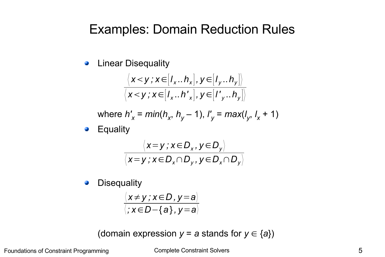#### Examples: Domain Reduction Rules

Linear Disequality  $\mathbf{C}$ 

$$
\frac{\langle x \langle y, x \rangle | I_x \cdot h_x |, y \in [I_y \cdot h_y] \rangle}{\langle x \langle y, x \rangle | I_x \cdot h_x |, y \in [I_y \cdot h_y] \rangle}
$$

where  $h'_x = min(h_x, h_y - 1), l'_y = max(l_y, l_x + 1)$ 

**Equality**  $\mathcal{L}$ 

$$
\frac{\langle x=y \, ; x \in D_x, y \in D_y \rangle}{\langle x=y \, ; x \in D_x \cap D_y, y \in D_x \cap D_y \rangle}
$$

**Disequality**  $\overline{\phantom{a}}$ 

$$
\frac{\langle x\neq y\,;\,x\in D\,,\,y=a\rangle}{\langle x\in D-\{a\},\,y=a\rangle}
$$

(domain expression  $y = a$  stands for  $y \in \{a\}$ )

Foundations of Constraint Programming Complete Constraint Solvers 6 5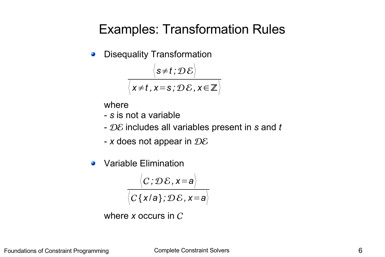### Examples: Transformation Rules

Disequality Transformation  $\mathcal{L}$ 

$$
\frac{\langle s\neq t\,;\mathcal{D}\,\mathcal{E}\rangle}{\langle x\neq t\,,x=s\,;\mathcal{D}\,\mathcal{E}\,,x\in\mathbb{Z}\rangle}
$$

where

- *s* is not a variable
- includes all variables present in *s* and *t*
- *x* does not appear in
- Variable Elimination  $\overline{\phantom{a}}$

$$
\frac{\langle C; \mathcal{D}\mathcal{E}, x=a \rangle}{\langle C\{x/a\}; \mathcal{D}\mathcal{E}, x=a \rangle}
$$

where 
$$
x
$$
 occurs in  $C$ .

Foundations of Constraint Programming Complete Constraint Solvers 6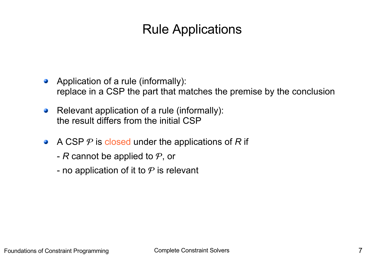# Rule Applications

- Application of a rule (informally): replace in a CSP the part that matches the premise by the conclusion
- Relevant application of a rule (informally):  $\bullet$ the result differs from the initial CSP
- A CSP  $P$  is closed under the applications of R if
	- $R$  cannot be applied to  $P$ , or
	- no application of it to  $P$  is relevant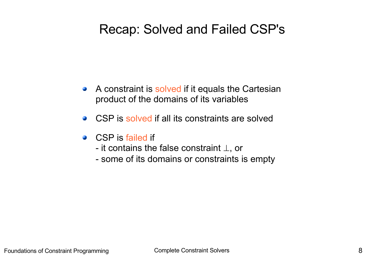### Recap: Solved and Failed CSP's

- A constraint is solved if it equals the Cartesian product of the domains of its variables
- CSP is solved if all its constraints are solved  $\mathbf{L}$
- CSP is failed if
	- it contains the false constraint ⊥, or
	- some of its domains or constraints is empty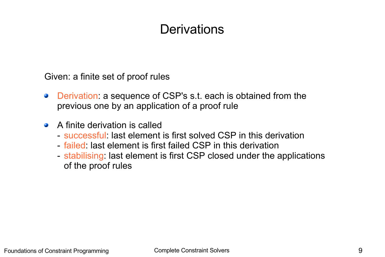# **Derivations**

Given: a finite set of proof rules

- Derivation: a sequence of CSP's s.t. each is obtained from the  $\mathcal{L}$ previous one by an application of a proof rule
- A finite derivation is called **College** 
	- successful: last element is first solved CSP in this derivation
	- failed: last element is first failed CSP in this derivation
	- stabilising: last element is first CSP closed under the applications of the proof rules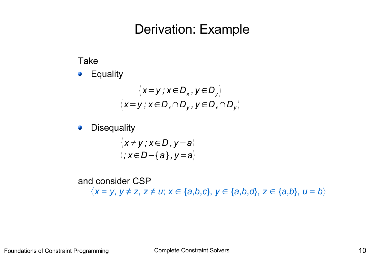#### Derivation: Example

Take

**•** Equality

$$
\frac{\langle x=y \, ; x \in D_x, y \in D_y \rangle}{\langle x=y \, ; x \in D_x \cap D_y, y \in D_x \cap D_y \rangle}
$$

**Disequality**  $\mathcal{L}$ 

$$
\frac{\langle x\neq y\,;\,x\in D\,,\,y=a\rangle}{\langle x\in D-\{a\},\,y=a\rangle}
$$

and consider CSP 〈*x* = *y*, *y* ≠ *z*, *z* ≠ *u*; *x* ∈ {*a*,*b*,*c*}, *y* ∈ {*a*,*b*,*d*}, *z* ∈ {*a*,*b*}, *u* = *b*〉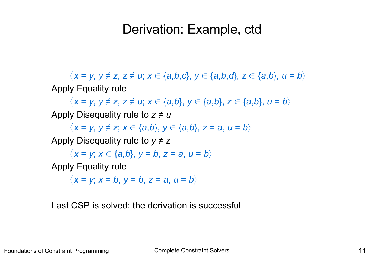### Derivation: Example, ctd

〈*x* = *y*, *y* ≠ *z*, *z* ≠ *u*; *x* ∈ {*a*,*b*,*c*}, *y* ∈ {*a*,*b*,*d*}, *z* ∈ {*a*,*b*}, *u* = *b*〉 Apply Equality rule

 $\langle x = y, y \neq z, z \neq u; x \in \{a,b\}, y \in \{a,b\}, z \in \{a,b\}, u = b \rangle$ Apply Disequality rule to *z* ≠ *u*

〈*x* = *y*, *y* ≠ *z*; *x* ∈ {*a*,*b*}, *y* ∈ {*a*,*b*}, *z* = *a*, *u* = *b*〉

Apply Disequality rule to  $y \neq z$ 

 $\langle x = y; x \in \{a,b\}, y = b, z = a, u = b \rangle$ 

Apply Equality rule

 $\langle x = v; x = b, v = b, z = a, u = b \rangle$ 

Last CSP is solved: the derivation is successful

Foundations of Constraint Programming Complete Constraint Solvers Complete Constraint Solvers 11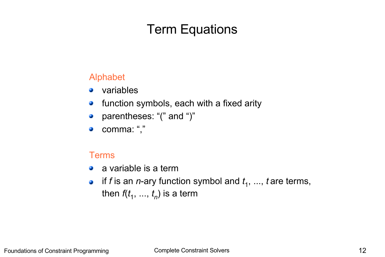# Term Equations

#### Alphabet

- variables  $\mathbf{G}$
- function symbols, each with a fixed arity  $\bullet$
- parentheses: "(" and ")"  $\mathcal{L}$
- comma: "," **C**

#### Terms

- a variable is a term  $\mathcal{L}$
- if *f* is an *n*-ary function symbol and *t* 1 , ..., *t* are terms,  $\mathcal{L}$ then *f*(*t* 1 , ..., *t n* ) is a term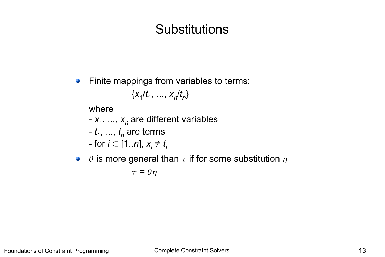# **Substitutions**

Finite mappings from variables to terms:  $\mathcal{L}_{\mathcal{S}}$ 

$$
\{x_1/t_1, \, ..., \, x_n/t_n\}
$$

where

- $x_1$ , ...,  $x_n$  are different variables
- *t* 1 , ..., *t n* are terms
- for  $i \in [1..n]$ ,  $x_i \neq t_i$
- $\theta$  is more general than  $\tau$  if for some substitution  $\eta$

$$
\tau=\theta\eta
$$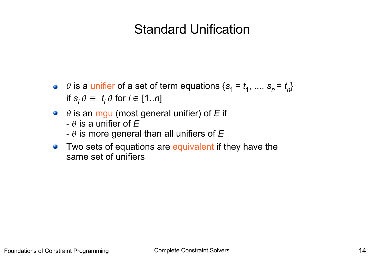### Standard Unification

- $\theta$  is a unifier of a set of term equations  $\{s_1 = t_1, ..., s_n = t_n\}$ if  $s_i \theta \equiv t_i \theta$  for  $i \in [1..n]$
- $\theta$  is an mgu (most general unifier) of *E* if
	- $\theta$  is a unifier of  $E$
	- $\theta$  is more general than all unifiers of  $E$
- Two sets of equations are equivalent if they have the  $\mathcal{L}$ same set of unifiers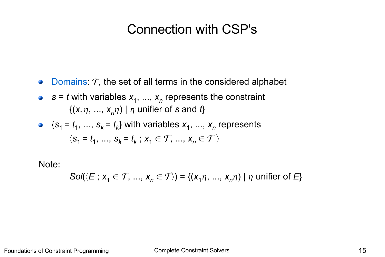### Connection with CSP's

- Domains:  $T$ , the set of all terms in the considered alphabet  $\bullet$
- $s = t$  with variables  $x_1, ..., x_n$  represents the constraint  $\{(x_{1}\eta, \, ..., \, x_{n}\eta) \mid \eta \text{ unifier of } \mathsf{s} \text{ and } \mathit{t}\}$
- $\{s_1 = t_1, ..., s_k = t_k\}$  with variables  $x_1, ..., x_n$  represents  $\langle s_1 = t_1, \ldots, s_k = t_k; x_1 \in \mathcal{T}, \ldots, x_n \in \mathcal{T} \rangle$

Note:

*Sol*( $\langle E : x_1 \in T, ..., x_n \in T \rangle$ ) = { $(x_1 \eta, ..., x_n \eta)$  |  $\eta$  unifier of *E*}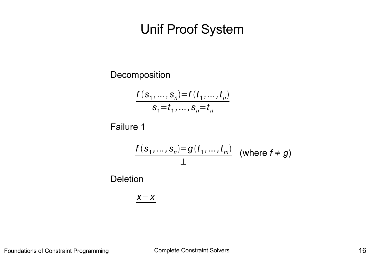### Unif Proof System

Decomposition

$$
\frac{f(s_1, ..., s_n) = f(t_1, ..., t_n)}{s_1 = t_1, ..., s_n = t_n}
$$

Failure 1

$$
\frac{f(s_1,...,s_n)=g(t_1,...,t_m)}{\perp}
$$
 (where  $f \neq g$ )  
Deletion

$$
\underline{x} = x
$$

Foundations of Constraint Programming Complete Constraint Solvers **16** and the Constraint Solvers 16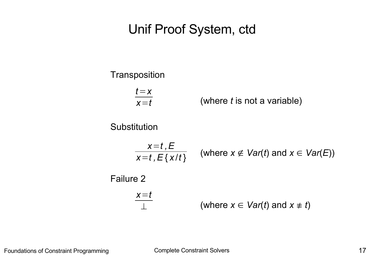### Unif Proof System, ctd

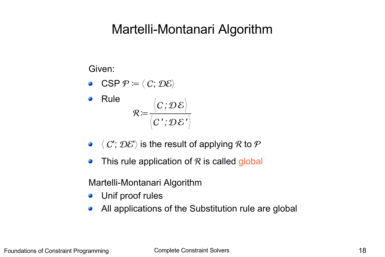### Martelli-Montanari Algorithm

Given:

**•** CSP  $\mathcal{P} \coloneqq \langle C, \mathcal{D} \mathcal{E} \rangle$ 



- $\bullet \langle C'; \mathcal{D} \mathcal{E}' \rangle$  is the result of applying R to P
- This rule application of  $R$  is called global  $\mathcal{L}$

Martelli-Montanari Algorithm

- **•** Unif proof rules
- All applications of the Substitution rule are global  $\bullet$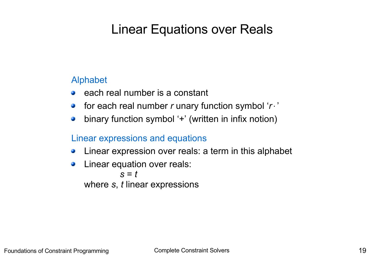# Linear Equations over Reals

#### Alphabet

- each real number is a constant **Ca**
- for each real number *r* unary function symbol '*r*⋅'  $\mathbf{L}$
- binary function symbol '+' (written in infix notion)  $\bullet$

#### Linear expressions and equations

- Linear expression over reals: a term in this alphabet  $\mathcal{L}$
- Linear equation over reals:  $\bullet$ *s* = *t* where *s*, *t* linear expressions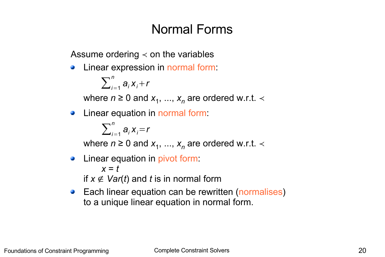### Normal Forms

Assume ordering  $\lt$  on the variables

Linear expression in normal form:  $\mathcal{L}$ 

$$
\sum_{i=1}^n a_i x_i + r
$$

where  $n \geq 0$  and  $x_1, ..., x_n$  are ordered w.r.t.  $\prec$ 

Linear equation in normal form:  $\mathcal{L}$ 

$$
\sum_{i=1}^n a_i x_i = r
$$

where  $n \geq 0$  and  $x_1, ..., x_n$  are ordered w.r.t.  $\prec$ 

- Linear equation in pivot form:  $\bullet$ *x* = *t* if  $x \notin \text{Var}(t)$  and *t* is in normal form
- Each linear equation can be rewritten (normalises) to a unique linear equation in normal form.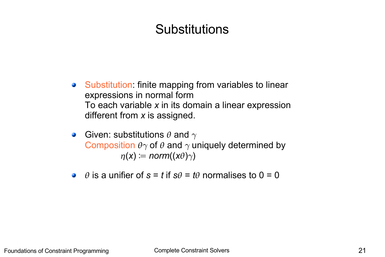# **Substitutions**

- Substitution: finite mapping from variables to linear  $\mathcal{L}_{\mathcal{A}}$ expressions in normal form To each variable *x* in its domain a linear expression different from *x* is assigned.
- Given: substitutions  $\theta$  and  $\gamma$  $\mathcal{L}$ Composition  $\theta \gamma$  of  $\theta$  and  $\gamma$  uniquely determined by  $\eta(x) \coloneqq norm((x\theta)\gamma)$
- $\theta$  is a unifier of  $s = t$  if  $s\theta = t\theta$  normalises to  $0 = 0$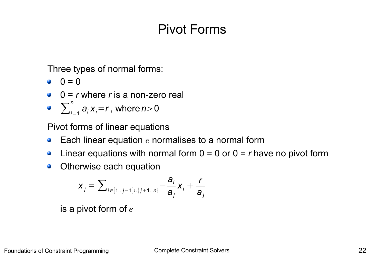# Pivot Forms

Three types of normal forms:

- $0 = 0$
- 0 = *r* where *r* is a non-zero real
- $\sum_{i=1}^n$  $a_i x_i = r$ , where  $n > 0$

Pivot forms of linear equations

- Each linear equation  $e$  normalises to a normal form  $\bullet$
- Linear equations with normal form  $0 = 0$  or  $0 = r$  have no pivot form  $\mathcal{L}$
- Otherwise each equation  $\mathbf{L}$

$$
x_j = \sum\nolimits_{i \in [1..j-1]\cup [j+1..n]} -\frac{a_j}{a_j}x_j + \frac{r}{a_j}
$$

is a pivot form of  $e$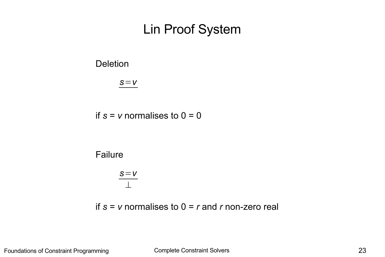### Lin Proof System

#### **Deletion**

*s*=*v*

if  $s = v$  normalises to  $0 = 0$ 



*s*=*v* ⊥

if  $s = v$  normalises to  $0 = r$  and  $r$  non-zero real

Foundations of Constraint Programming Complete Constraint Solvers Complete Constraint Solvers 23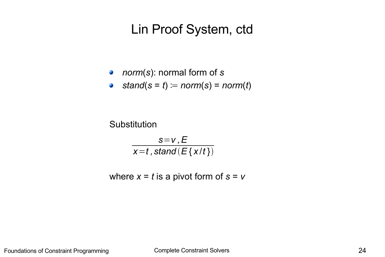### Lin Proof System, ctd

- *norm*(*s*): normal form of *s*
- *stand*(*s* = *t*) ≔ *norm*(*s*) = *norm*(*t*)

**Substitution** 

*s*=*v ,E x*=*t ,stand E* { *x* /*t* }

where  $x = t$  is a pivot form of  $s = v$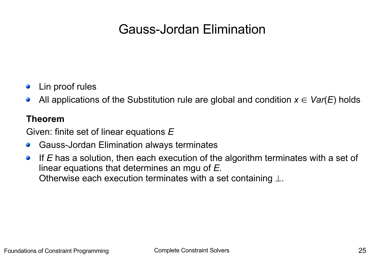# Gauss-Jordan Elimination

- Lin proof rules
- All applications of the Substitution rule are global and condition  $x \in \text{Var}(E)$  holds  $\mathcal{L}$

#### **Theorem**

Given: finite set of linear equations *E*

- Gauss-Jordan Elimination always terminates
- If *E* has a solution, then each execution of the algorithm terminates with a set of  $\bullet$ linear equations that determines an mgu of *E.* Otherwise each execution terminates with a set containing  $\perp$ .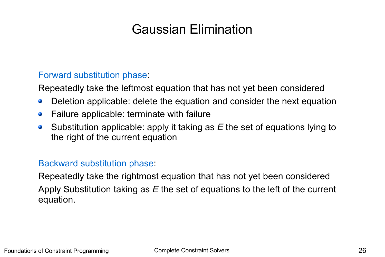# Gaussian Elimination

#### Forward substitution phase:

Repeatedly take the leftmost equation that has not yet been considered

- Deletion applicable: delete the equation and consider the next equation  $\mathcal{L}$
- Failure applicable: terminate with failure  $\mathcal{L}$
- Substitution applicable: apply it taking as *E* the set of equations lying to  $\mathcal{L}$ the right of the current equation

#### Backward substitution phase:

Repeatedly take the rightmost equation that has not yet been considered Apply Substitution taking as *E* the set of equations to the left of the current equation.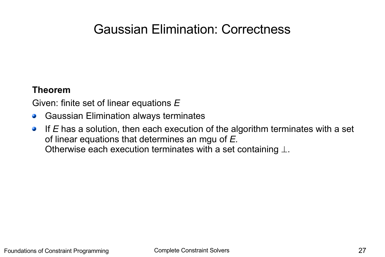### Gaussian Elimination: Correctness

#### **Theorem**

Given: finite set of linear equations *E*

- Gaussian Elimination always terminates  $\bullet$
- If *E* has a solution, then each execution of the algorithm terminates with a set  $\mathbf{r}$ of linear equations that determines an mgu of *E.* Otherwise each execution terminates with a set containing  $\perp$ .